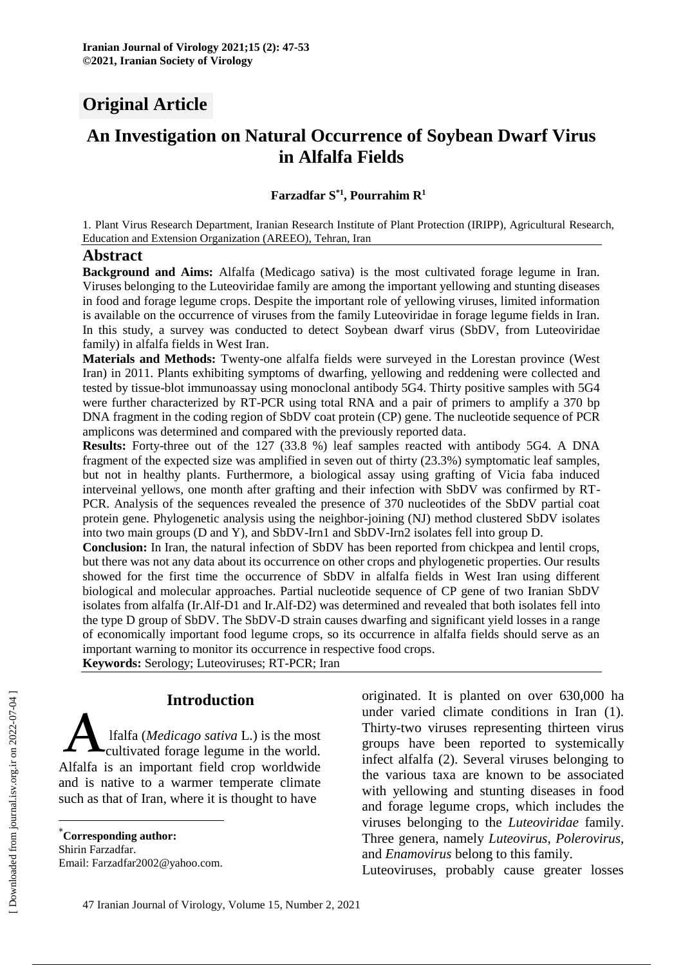# **Original Article**

# **An Investigation on Natural Occurrence of Soybean Dwarf Virus in Alfalfa Fields**

#### **Farzadfar S \*1 , Pourrahim R<sup>1</sup>**

1. Plant Virus Research Department, Iranian Research Institute of Plant Protection (IRIPP), Agricultural Research, Education and Extension Organization (AREEO), Tehran, Iran

#### **Abstract**

**Background and Aims:** Alfalfa (Medicago sativa) is the most cultivated forage legume in Iran. Viruses belonging to the Luteoviridae family are among the important yellowing and stunting diseases in food and forage legume crops. Despite the important role of yellowing viruses, limited information is available on the occurrence of viruses from the family Luteoviridae in forage legume fields in Iran. In this study, a survey was conducted to detect Soybean dwarf virus (SbDV, from Luteoviridae family) in alfalfa fields in West Iran.

**Materials and Methods:** Twenty-one alfalfa fields were surveyed in the Lorestan province (West Iran) in 2011. Plants exhibiting symptoms of dwarfing, yellowing and reddening were collected and tested by tissue-blot immunoassay using monoclonal antibody 5G4. Thirty positive samples with 5G4 were further characterized by RT-PCR using total RNA and a pair of primers to amplify a 370 bp DNA fragment in the coding region of SbDV coat protein (CP) gene. The nucleotide sequence of PCR amplicons was determined and compared with the previously reported data.

**Results:** Forty-three out of the 127 (33.8 %) leaf samples reacted with antibody 5G4. A DNA fragment of the expected size was amplified in seven out of thirty (23.3%) symptomatic leaf samples, but not in healthy plants. Furthermore, a biological assay using grafting of Vicia faba induced interveinal yellows, one month after grafting and their infection with SbDV was confirmed by RT-PCR. Analysis of the sequences revealed the presence of 370 nucleotides of the SbDV partial coat protein gene. Phylogenetic analysis using the neighbor-joining (NJ) method clustered SbDV isolates into two main groups (D and Y), and SbDV-Irn1 and SbDV-Irn2 isolates fell into group D.

**Conclusion:** In Iran, the natural infection of SbDV has been reported from chickpea and lentil crops, but there was not any data about its occurrence on other crops and phylogenetic properties. Our results showed for the first time the occurrence of SbDV in alfalfa fields in West Iran using different biological and molecular approaches. Partial nucleotide sequence of CP gene of two Iranian SbDV isolates from alfalfa (Ir.Alf-D1 and Ir.Alf-D2) was determined and revealed that both isolates fell into the type D group of SbDV. The SbDV-D strain causes dwarfing and significant yield losses in a range of economically important food legume crops, so its occurrence in alfalfa fields should serve as an important warning to monitor its occurrence in respective food crops.

**Keywords:** Serology; Luteoviruses; RT-PCR; Iran

# **Introduction\***

lfalfa (*Medicago sativa* L.) is the most cultivated forage legume in the world. **Introduction**<br> **A** Ifalfa (*Medicago sativa* L.) is the most<br>
cultivated forage legume in the world.<br>
Alfalfa is an important field crop worldwide and is native to a warmer temperate climate such as that of Iran, where it is thought to have

\***Corresponding author:** Shirin Farzadfar. Email: Farzadfar2002@yahoo.com. originated. It is planted on over 630,000 ha under varied climate conditions in Iran (1). Thirty-two viruses representing thirteen virus groups have been reported to systemically infect alfalfa (2). Several viruses belonging to the various taxa are known to be associated with yellowing and stunting diseases in food and forage legume crops, which includes the viruses belonging to the *Luteoviridae* family. Three genera, namely *Luteovirus*, *Polerovirus,*  and *Enamovirus* belong to this family.

Luteoviruses, probably cause greater losses

 $\overline{a}$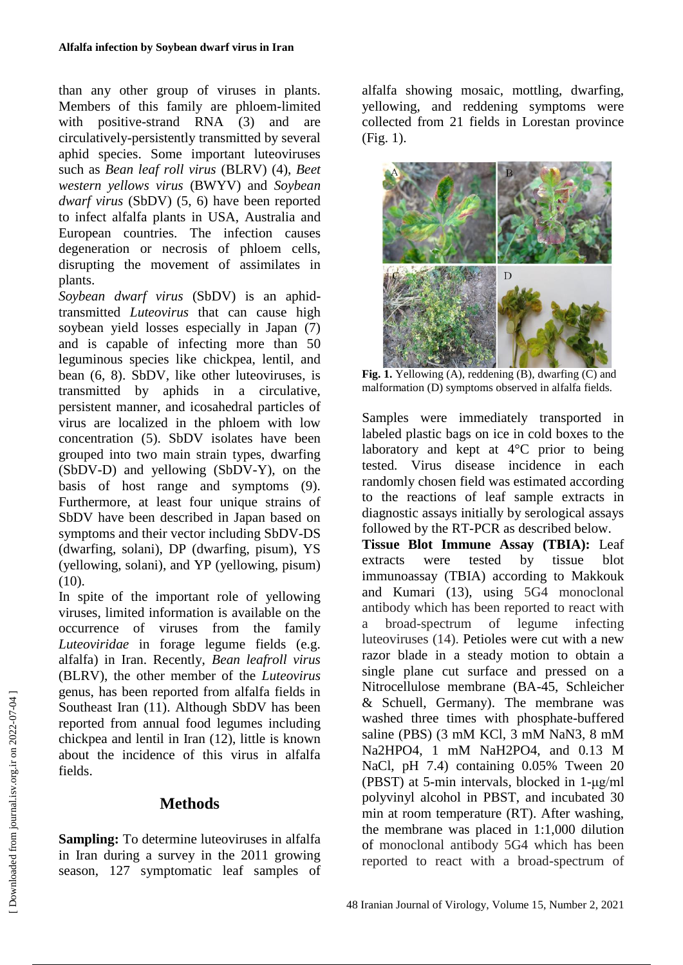than any other group of viruses in plants. Members of this family are phloem-limited with positive-strand RNA (3) and are circulatively-persistently transmitted by several aphid species. Some important luteoviruses such as *Bean leaf roll virus* (BLRV) (4), *Beet western yellows virus* (BWYV) and *Soybean dwarf virus* (SbDV) (5, 6) have been reported to infect alfalfa plants in USA, Australia and European countries. The infection causes degeneration or necrosis of phloem cells, disrupting the movement of assimilates in plants.

*Soybean dwarf virus* (SbDV) is an aphidtransmitted *Luteovirus* that can cause high soybean yield losses especially in Japan (7) and is capable of infecting more than 50 leguminous species like chickpea, lentil, and bean (6, 8). SbDV, like other luteoviruses, is transmitted by aphids in a circulative, persistent manner, and icosahedral particles of virus are localized in the phloem with low concentration (5). SbDV isolates have been grouped into two main strain types, dwarfing (SbDV-D) and yellowing (SbDV-Y), on the basis of host range and symptoms (9). Furthermore, at least four unique strains of SbDV have been described in Japan based on symptoms and their vector including SbDV-DS (dwarfing, solani), DP (dwarfing, pisum), YS (yellowing, solani), and YP (yellowing, pisum) (10).

In spite of the important role of yellowing viruses, limited information is available on the occurrence of viruses from the family *Luteoviridae* in forage legume fields (e.g. alfalfa) in Iran. Recently, *Bean leafroll virus*  (BLRV), the other member of the *Luteovirus* genus, has been reported from alfalfa fields in Southeast Iran (11). Although SbDV has been reported from annual food legumes including chickpea and lentil in Iran (12), little is known about the incidence of this virus in alfalfa fields.

# **Methods**

**Sampling:** To determine luteoviruses in alfalfa in Iran during a survey in the 2011 growing season, 127 symptomatic leaf samples of alfalfa showing mosaic, mottling, dwarfing, yellowing, and reddening symptoms were collected from 21 fields in Lorestan province (Fig. 1).



**Fig. 1.** Yellowing (A), reddening (B), dwarfing (C) and malformation (D) symptoms observed in alfalfa fields.

Samples were immediately transported in labeled plastic bags on ice in cold boxes to the laboratory and kept at 4°C prior to being tested. Virus disease incidence in each randomly chosen field was estimated according to the reactions of leaf sample extracts in diagnostic assays initially by serological assays followed by the RT-PCR as described below.

**Tissue Blot Immune Assay (TBIA):** Leaf extracts were tested by tissue blot immunoassay (TBIA) according to Makkouk and Kumari (13), using 5G4 monoclonal antibody which has been reported to react with a broad-spectrum of legume infecting luteoviruses (14). Petioles were cut with a new razor blade in a steady motion to obtain a single plane cut surface and pressed on a Nitrocellulose membrane (BA-45, Schleicher & Schuell, Germany). The membrane was washed three times with phosphate-buffered saline (PBS) (3 mM KCl, 3 mM NaN3, 8 mM Na2HPO4, 1 mM NaH2PO4, and 0.13 M NaCl, pH 7.4) containing 0.05% Tween 20 (PBST) at 5-min intervals, blocked in 1-μg/ml polyvinyl alcohol in PBST, and incubated 30 min at room temperature (RT). After washing, the membrane was placed in 1:1,000 dilution of monoclonal antibody 5G4 which has been reported to react with a broad-spectrum of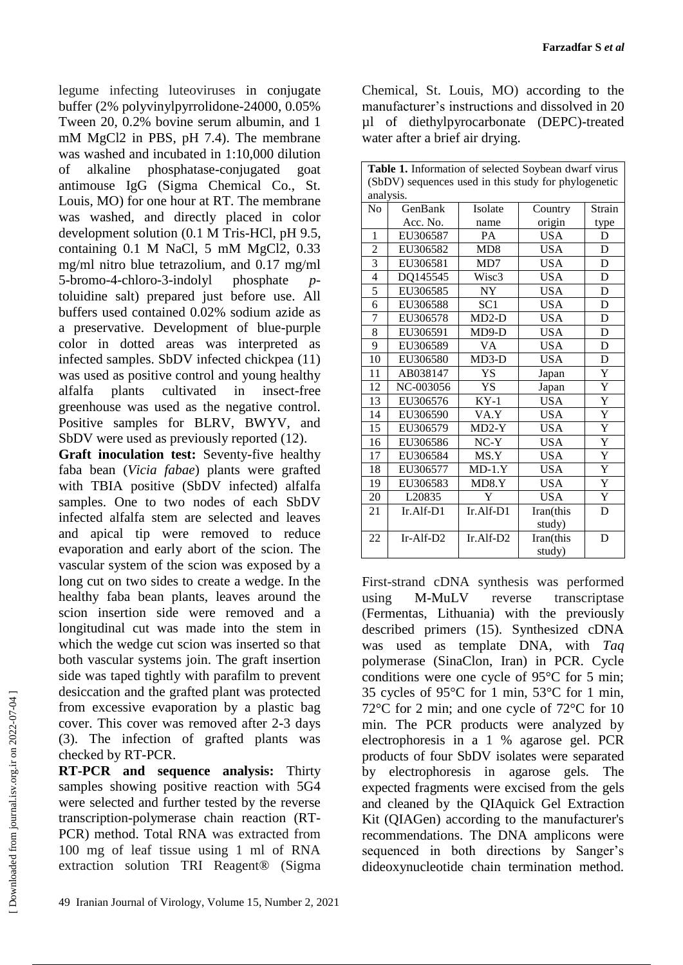legume infecting luteoviruses in conjugate buffer (2% polyvinylpyrrolidone-24000, 0.05% Tween 20, 0.2% bovine serum albumin, and 1 mM MgCl2 in PBS, pH 7.4). The membrane was washed and incubated in 1:10,000 dilution of alkaline phosphatase-conjugated goat antimouse IgG (Sigma Chemical Co., St. Louis, MO) for one hour at RT. The membrane was washed, and directly placed in color development solution (0.1 M Tris-HCl, pH 9.5, containing 0.1 M NaCl, 5 mM MgCl2, 0.33 mg/ml nitro blue tetrazolium, and 0.17 mg/ml 5-bromo-4-chloro-3-indolyl phosphate *p*toluidine salt) prepared just before use. All buffers used contained 0.02% sodium azide as a preservative. Development of blue-purple color in dotted areas was interpreted as infected samples. SbDV infected chickpea (11) was used as positive control and young healthy alfalfa plants cultivated in insect-free greenhouse was used as the negative control. Positive samples for BLRV, BWYV, and SbDV were used as previously reported (12).

**Graft inoculation test:** Seventy-five healthy faba bean (*Vicia fabae*) plants were grafted with TBIA positive (SbDV infected) alfalfa samples. One to two nodes of each SbDV infected alfalfa stem are selected and leaves and apical tip were removed to reduce evaporation and early abort of the scion. The vascular system of the scion was exposed by a long cut on two sides to create a wedge. In the healthy faba bean plants, leaves around the scion insertion side were removed and a longitudinal cut was made into the stem in which the wedge cut scion was inserted so that both vascular systems join. The graft insertion side was taped tightly with parafilm to prevent desiccation and the grafted plant was protected from excessive evaporation by a plastic bag cover. This cover was removed after 2-3 days (3). The infection of grafted plants was checked by RT-PCR.

**RT-PCR and sequence analysis:** Thirty samples showing positive reaction with 5G4 were selected and further tested by the reverse transcription-polymerase chain reaction (RT-PCR) method. Total RNA was extracted from 100 mg of leaf tissue using 1 ml of RNA extraction solution TRI Reagent® (Sigma

49 Iranian Journal of Virology, Volume 15, Number 2, 2021

|                                                 |  |  | Chemical, St. Louis, MO) according to the |  |  |  |  |
|-------------------------------------------------|--|--|-------------------------------------------|--|--|--|--|
| manufacturer's instructions and dissolved in 20 |  |  |                                           |  |  |  |  |
|                                                 |  |  | ul of diethylpyrocarbonate (DEPC)-treated |  |  |  |  |
| water after a brief air drying.                 |  |  |                                           |  |  |  |  |

|                | Table 1. Information of selected Soybean dwarf virus |                 |            |             |  |  |  |
|----------------|------------------------------------------------------|-----------------|------------|-------------|--|--|--|
|                | (SbDV) sequences used in this study for phylogenetic |                 |            |             |  |  |  |
| analysis.      |                                                      |                 |            |             |  |  |  |
| No             | GenBank                                              | Isolate         | Country    | Strain      |  |  |  |
|                | Acc. No.                                             | name            | origin     | type        |  |  |  |
| 1              | EU306587                                             | PA              | <b>USA</b> | D           |  |  |  |
| $\overline{c}$ | EU306582                                             | MD <sub>8</sub> | <b>USA</b> | D           |  |  |  |
| 3              | EU306581                                             | MD7             | USA        | D           |  |  |  |
| $\overline{4}$ | DO145545                                             | Wisc3           | <b>USA</b> | D           |  |  |  |
| $\overline{5}$ | EU306585                                             | <b>NY</b>       | <b>USA</b> | D           |  |  |  |
| 6              | EU306588                                             | SC <sub>1</sub> | <b>USA</b> | D           |  |  |  |
| 7              | EU306578                                             | $MD2-D$         | <b>USA</b> | $\mathbf D$ |  |  |  |
| 8              | EU306591                                             | $MD9-D$         | <b>USA</b> | D           |  |  |  |
| 9              | EU306589                                             | VA              | <b>USA</b> | D           |  |  |  |
| 10             | EU306580                                             | MD3-D           | <b>USA</b> | D           |  |  |  |
| 11             | AB038147                                             | YS              | Japan      | Y           |  |  |  |
| 12             | NC-003056                                            | <b>YS</b>       | Japan      | Y           |  |  |  |
| 13             | EU306576                                             | $KY-1$          | <b>USA</b> | Y           |  |  |  |
| 14             | EU306590                                             | VA.Y            | <b>USA</b> | Y           |  |  |  |
| 15             | EU306579                                             | $MD2-Y$         | <b>USA</b> | Y           |  |  |  |
| 16             | EU306586                                             | $NC-Y$          | <b>USA</b> | Y           |  |  |  |
| 17             | EU306584                                             | MS.Y            | <b>USA</b> | Y           |  |  |  |
| 18             | EU306577                                             | $MD-1.Y$        | <b>USA</b> | Y           |  |  |  |
| 19             | EU306583                                             | MD8.Y           | <b>USA</b> | Y           |  |  |  |
| 20             | L <sub>20835</sub>                                   | Y               | <b>USA</b> | Y           |  |  |  |
| 21             | $Ir.A1f-D1$                                          | $Ir.A1f-D1$     | Iran(this  | D           |  |  |  |
|                |                                                      |                 | study)     |             |  |  |  |
| 22             | $Ir-A1f-D2$                                          | Ir.Alf-D2       | Iran(this  | D           |  |  |  |
|                |                                                      |                 | study)     |             |  |  |  |

First-strand cDNA synthesis was performed using M-MuLV reverse transcriptase (Fermentas, Lithuania) with the previously described primers (15). Synthesized cDNA was used as template DNA, with *Taq* polymerase (SinaClon, Iran) in PCR. Cycle conditions were one cycle of 95°C for 5 min; 35 cycles of 95°C for 1 min, 53°C for 1 min, 72°C for 2 min; and one cycle of 72°C for 10 min. The PCR products were analyzed by electrophoresis in a 1 % agarose gel. PCR products of four SbDV isolates were separated by electrophoresis in agarose gels. The expected fragments were excised from the gels and cleaned by the QIAquick Gel Extraction Kit (QIAGen) according to the manufacturer's recommendations. The DNA amplicons were sequenced in both directions by Sanger's dideoxynucleotide chain termination method.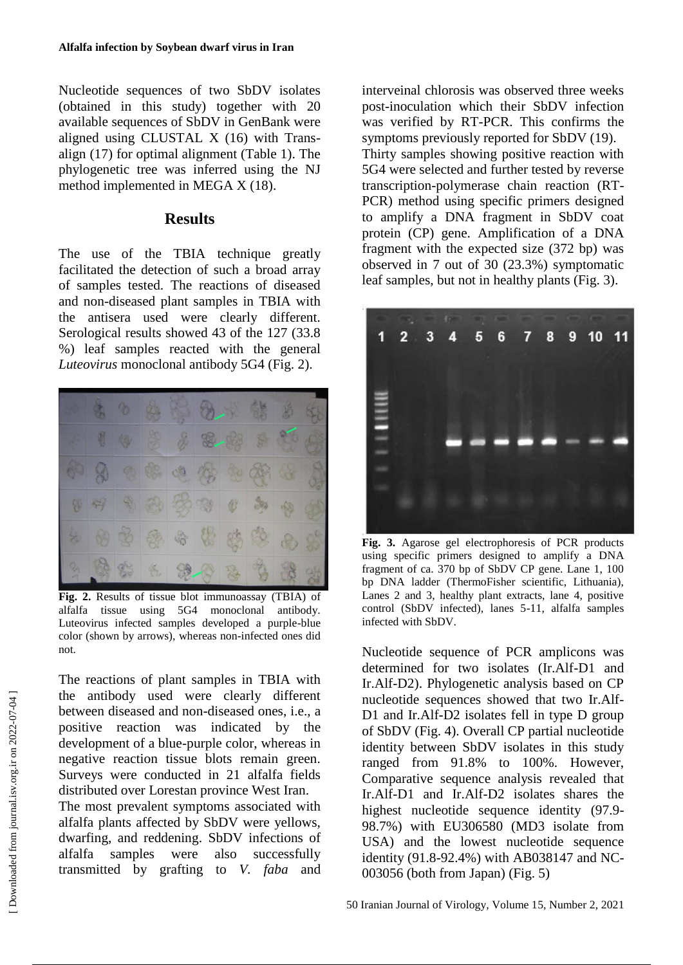Nucleotide sequences of two SbDV isolates (obtained in this study) together with 20 available sequences of SbDV in GenBank were aligned using CLUSTAL X (16) with Transalign (17) for optimal alignment (Table 1). The phylogenetic tree was inferred using the NJ method implemented in MEGA X (18).

## **Results**

The use of the TBIA technique greatly facilitated the detection of such a broad array of samples tested. The reactions of diseased and non-diseased plant samples in TBIA with the antisera used were clearly different. Serological results showed 43 of the 127 (33.8 %) leaf samples reacted with the general *Luteovirus* monoclonal antibody 5G4 (Fig. 2).



**Fig. 2.** Results of tissue blot immunoassay (TBIA) of alfalfa tissue using 5G4 monoclonal antibody. Luteovirus infected samples developed a purple-blue color (shown by arrows), whereas non-infected ones did not.

The reactions of plant samples in TBIA with the antibody used were clearly different between diseased and non-diseased ones, i.e., a positive reaction was indicated by the development of a blue-purple color, whereas in negative reaction tissue blots remain green. Surveys were conducted in 21 alfalfa fields distributed over Lorestan province West Iran.

The most prevalent symptoms associated with alfalfa plants affected by SbDV were yellows, dwarfing, and reddening. SbDV infections of alfalfa samples were also successfully transmitted by grafting to *V. faba* and

interveinal chlorosis was observed three weeks post-inoculation which their SbDV infection was verified by RT-PCR. This confirms the symptoms previously reported for SbDV (19). Thirty samples showing positive reaction with 5G4 were selected and further tested by reverse transcription-polymerase chain reaction (RT-PCR) method using specific primers designed to amplify a DNA fragment in SbDV coat protein (CP) gene. Amplification of a DNA fragment with the expected size (372 bp) was observed in 7 out of 30 (23.3%) symptomatic leaf samples, but not in healthy plants (Fig. 3).



**Fig. 3.** Agarose gel electrophoresis of PCR products using specific primers designed to amplify a DNA fragment of ca. 370 bp of SbDV CP gene. Lane 1, 100 bp DNA ladder (ThermoFisher scientific, Lithuania), Lanes 2 and 3, healthy plant extracts, lane 4, positive control (SbDV infected), lanes 5-11, alfalfa samples infected with SbDV.

Nucleotide sequence of PCR amplicons was determined for two isolates (Ir.Alf-D1 and Ir.Alf-D2). Phylogenetic analysis based on CP nucleotide sequences showed that two Ir.Alf-D1 and Ir.Alf-D2 isolates fell in type D group of SbDV (Fig. 4). Overall CP partial nucleotide identity between SbDV isolates in this study ranged from 91.8% to 100%. However, Comparative sequence analysis revealed that Ir.Alf-D1 and Ir.Alf-D2 isolates shares the highest nucleotide sequence identity (97.9- 98.7%) with EU306580 (MD3 isolate from USA) and the lowest nucleotide sequence identity (91.8-92.4%) with AB038147 and NC-003056 (both from Japan) (Fig. 5)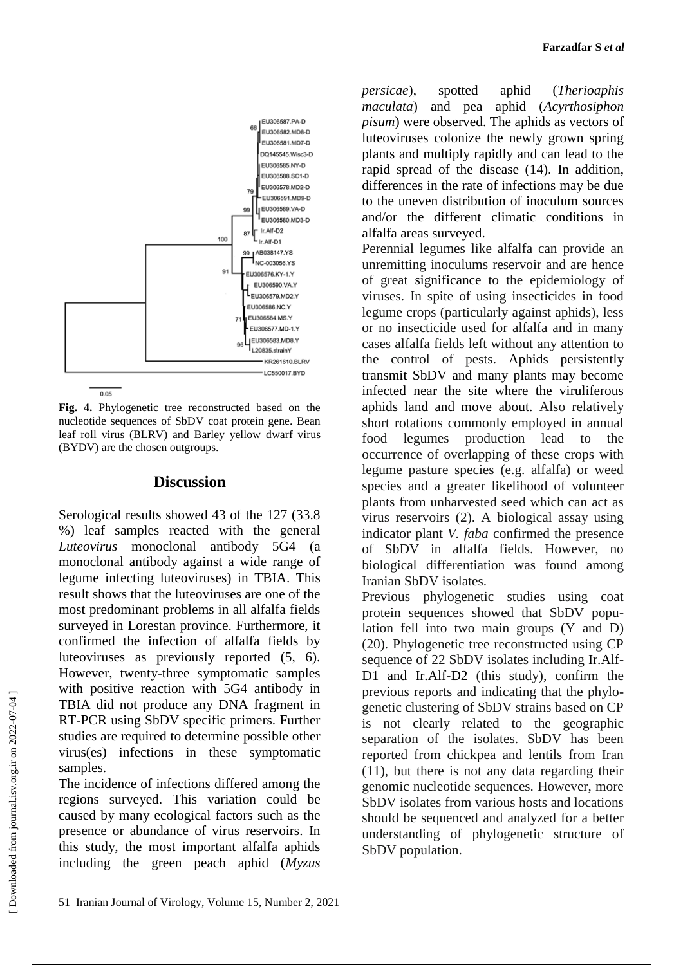

**Fig. 4.** Phylogenetic tree reconstructed based on the nucleotide sequences of SbDV coat protein gene. Bean leaf roll virus (BLRV) and Barley yellow dwarf virus (BYDV) are the chosen outgroups.

### **Discussion**

Serological results showed 43 of the 127 (33.8 %) leaf samples reacted with the general *Luteovirus* monoclonal antibody 5G4 (a monoclonal antibody against a wide range of legume infecting luteoviruses) in TBIA. This result shows that the luteoviruses are one of the most predominant problems in all alfalfa fields surveyed in Lorestan province. Furthermore, it confirmed the infection of alfalfa fields by luteoviruses as previously reported (5, 6). However, twenty-three symptomatic samples with positive reaction with 5G4 antibody in TBIA did not produce any DNA fragment in RT-PCR using SbDV specific primers. Further studies are required to determine possible other virus(es) infections in these symptomatic samples.

The incidence of infections differed among the regions surveyed. This variation could be caused by many ecological factors such as the presence or abundance of virus reservoirs. In this study, the most important alfalfa aphids including the green peach aphid (*Myzus*  *persicae*), spotted aphid (*Therioaphis maculata*) and pea aphid (*Acyrthosiphon pisum*) were observed. The aphids as vectors of luteoviruses colonize the newly grown spring plants and multiply rapidly and can lead to the rapid spread of the disease (14). In addition, differences in the rate of infections may be due to the uneven distribution of inoculum sources and/or the different climatic conditions in alfalfa areas surveyed.

Perennial legumes like alfalfa can provide an unremitting inoculums reservoir and are hence of great significance to the epidemiology of viruses. In spite of using insecticides in food legume crops (particularly against aphids), less or no insecticide used for alfalfa and in many cases alfalfa fields left without any attention to the control of pests. Aphids persistently transmit SbDV and many plants may become infected near the site where the viruliferous aphids land and move about. Also relatively short rotations commonly employed in annual food legumes production lead to the occurrence of overlapping of these crops with legume pasture species (e.g. alfalfa) or weed species and a greater likelihood of volunteer plants from unharvested seed which can act as virus reservoirs (2). A biological assay using indicator plant *V. faba* confirmed the presence of SbDV in alfalfa fields. However, no biological differentiation was found among Iranian SbDV isolates.

Previous phylogenetic studies using coat protein sequences showed that SbDV population fell into two main groups (Y and D) (20). Phylogenetic tree reconstructed using CP sequence of 22 SbDV isolates including Ir.Alf-D1 and Ir.Alf-D2 (this study), confirm the previous reports and indicating that the phylogenetic clustering of SbDV strains based on CP is not clearly related to the geographic separation of the isolates. SbDV has been reported from chickpea and lentils from Iran (11), but there is not any data regarding their genomic nucleotide sequences. However, more SbDV isolates from various hosts and locations should be sequenced and analyzed for a better understanding of phylogenetic structure of SbDV population.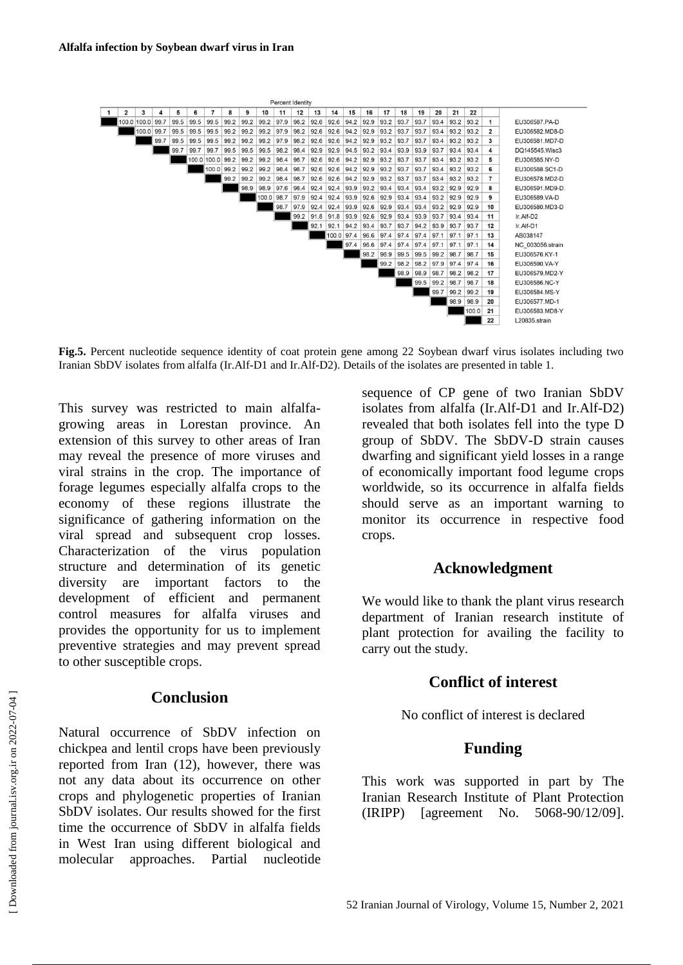

**Fig.5.** Percent nucleotide sequence identity of coat protein gene among 22 Soybean dwarf virus isolates including two Iranian SbDV isolates from alfalfa (Ir.Alf-D1 and Ir.Alf-D2). Details of the isolates are presented in table 1.

This survey was restricted to main alfalfagrowing areas in Lorestan province. An extension of this survey to other areas of Iran may reveal the presence of more viruses and viral strains in the crop. The importance of forage legumes especially alfalfa crops to the economy of these regions illustrate the significance of gathering information on the viral spread and subsequent crop losses. Characterization of the virus population structure and determination of its genetic diversity are important factors to the development of efficient and permanent control measures for alfalfa viruses and provides the opportunity for us to implement preventive strategies and may prevent spread to other susceptible crops.

## **Conclusion**

Natural occurrence of SbDV infection on chickpea and lentil crops have been previously reported from Iran (12), however, there was not any data about its occurrence on other crops and phylogenetic properties of Iranian SbDV isolates. Our results showed for the first time the occurrence of SbDV in alfalfa fields in West Iran using different biological and molecular approaches. Partial nucleotide

sequence of CP gene of two Iranian SbDV isolates from alfalfa (Ir.Alf-D1 and Ir.Alf-D2) revealed that both isolates fell into the type D group of SbDV. The SbDV-D strain causes dwarfing and significant yield losses in a range of economically important food legume crops worldwide, so its occurrence in alfalfa fields should serve as an important warning to monitor its occurrence in respective food crops.

#### **Acknowledgment**

We would like to thank the plant virus research department of Iranian research institute of plant protection for availing the facility to carry out the study.

## **Conflict of interest**

No conflict of interest is declared

## **Funding**

This work was supported in part by The Iranian Research Institute of Plant Protection (IRIPP) [agreement No. 5068-90/12/09].